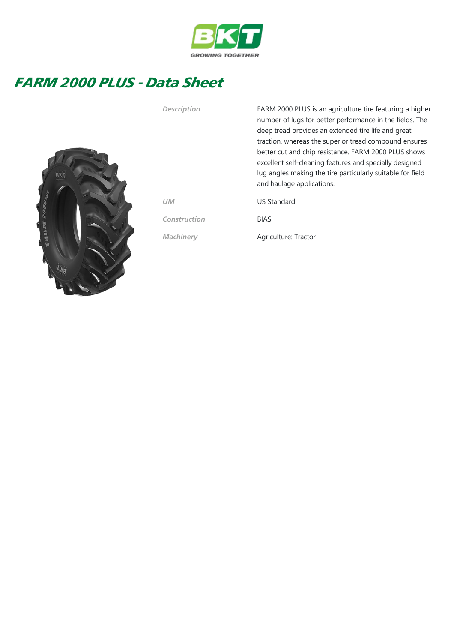

## FARM 2000 PLUS - Data Sheet



Description FARM 2000 PLUS is an agriculture tire featuring a higher number of lugs for better performance in the fields. The deep tread provides an extended tire life and great traction, whereas the superior tread compound ensures better cut and chip resistance. FARM 2000 PLUS shows excellent self‐cleaning features and specially designed lug angles making the tire particularly suitable for field and haulage applications.

UM US Standard

Construction BIAS

Machinery **Agriculture: Tractor**